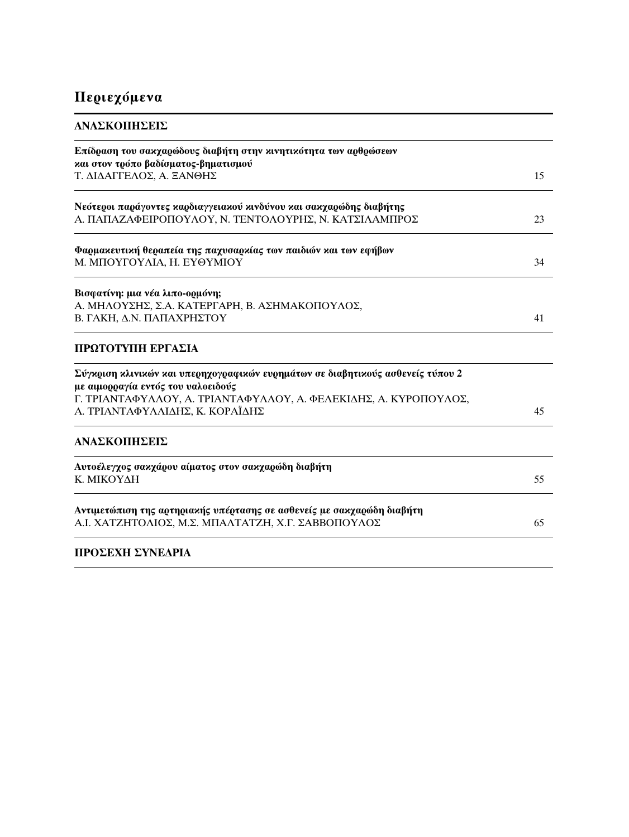## Περιεχόμενα

| ΑΝΑΣΚΟΠΗΣΕΙΣ                                                                                                                 |    |
|------------------------------------------------------------------------------------------------------------------------------|----|
| Επίδραση του σακχαρώδους διαβήτη στην κινητικότητα των αρθρώσεων<br>και στον τρόπο βαδίσματος-βηματισμού                     |    |
| Τ. ΔΙΔΑΓΓΕΛΟΣ, Α. ΞΑΝΘΗΣ                                                                                                     | 15 |
| Νεότεροι παράγοντες καρδιαγγειακού κινδύνου και σακχαρώδης διαβήτης<br>Α. ΠΑΠΑΖΑΦΕΙΡΟΠΟΥΛΟΥ, Ν. ΤΕΝΤΟΛΟΥΡΗΣ, Ν. ΚΑΤΣΙΛΑΜΠΡΟΣ | 23 |
| Φαρμαχευτιχή θεραπεία της παχυσαρχίας των παιδιών και των εφήβων<br>Μ. ΜΠΟΥΓΟΥΛΙΑ, Η. ΕΥΘΥΜΙΟΥ                               | 34 |
| Βισφατίνη: μια νέα λιπο-ορμόνη;                                                                                              |    |
| Α. ΜΗΛΟΥΣΗΣ, Σ.Α. ΚΑΤΕΡΓΑΡΗ, Β. ΑΣΗΜΑΚΟΠΟΥΛΟΣ,<br>Β. ΓΑΚΗ, Δ.Ν. ΠΑΠΑΧΡΗΣΤΟΥ                                                  | 41 |
| ΠΡΩΤΟΤΥΠΗ ΕΡΓΑΣΙΑ                                                                                                            |    |
| Σύγκριση κλινικών και υπερηχογραφικών ευρημάτων σε διαβητικούς ασθενείς τύπου 2<br>με αιμορραγία εντός του υαλοειδούς        |    |
| Γ. ΤΡΙΑΝΤΑΦΥΛΛΟΥ, Α. ΤΡΙΑΝΤΑΦΥΛΛΟΥ, Α. ΦΕΛΕΚΙΔΗΣ, Α. ΚΥΡΟΠΟΥΛΟΣ,<br>Α. ΤΡΙΑΝΤΑΦΥΛΛΙΔΗΣ, Κ. ΚΟΡΑΪΔΗΣ                          | 45 |
| ΑΝΑΣΚΟΠΗΣΕΙΣ                                                                                                                 |    |
| Αυτοέλεγχος σακχάρου αίματος στον σακχαρώδη διαβήτη<br>Κ. ΜΙΚΟΥΔΗ                                                            | 55 |
| Αντιμετώπιση της αρτηριακής υπέρτασης σε ασθενείς με σακχαρώδη διαβήτη<br>Α.Ι. ΧΑΤΖΗΤΟΛΙΟΣ, Μ.Σ. ΜΠΑΛΤΑΤΖΗ, Χ.Γ. ΣΑΒΒΟΠΟΥΛΟΣ | 65 |
| ΠΡΟΣΕΧΗ ΣΥΝΕΔΡΙΑ                                                                                                             |    |